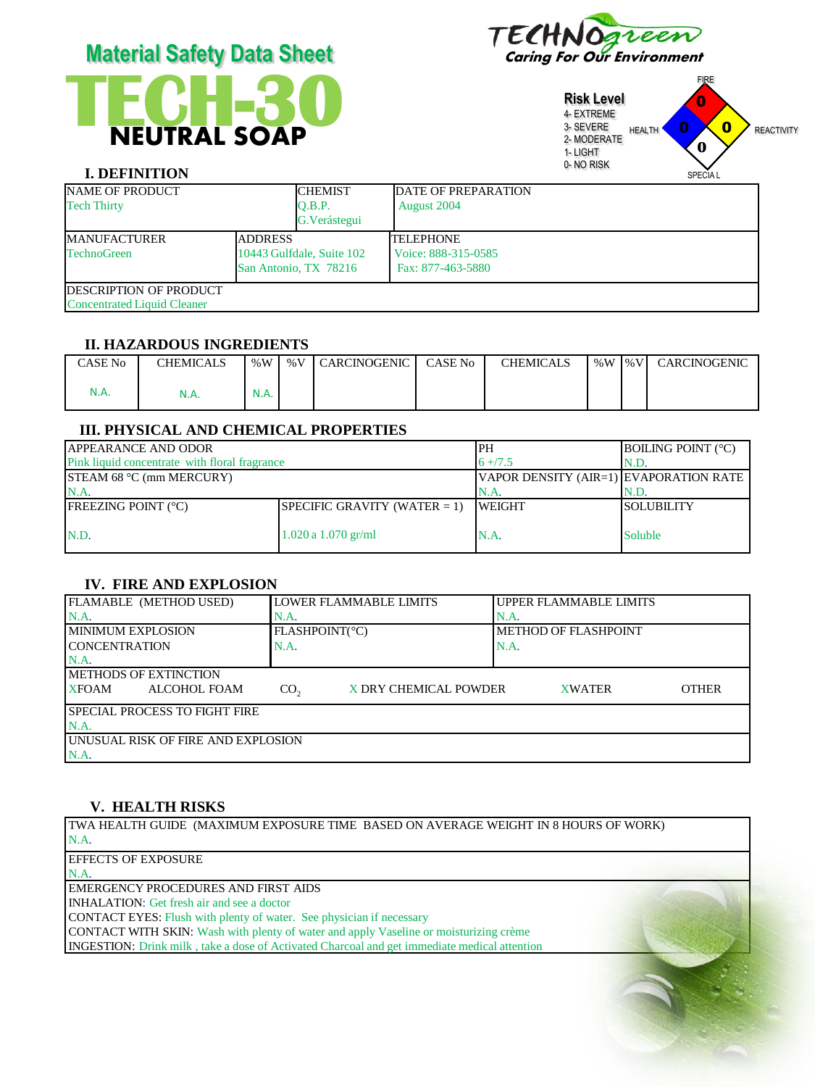# **TECH** NEUTRAL SOAP **-30 Material Safety Data Sheet** Caring For Our Environment



**Risk Level** 4- EXTREME 3- SEVERE 2- MODERATE 1- LIGHT 0- NO RISK FIRE HEALTH **U U REACTIVITY** SPECIA L 0 0 0 **0**

# **I. DEFINITION**

| NAME OF PRODUCT                       |  | <b>CHEMIST</b>            | <b>IDATE OF PREPARATION</b> |  |  |
|---------------------------------------|--|---------------------------|-----------------------------|--|--|
| <b>Tech Thirty</b>                    |  | O.B.P.                    | August 2004                 |  |  |
|                                       |  | G. Verástegui             |                             |  |  |
| <b>MANUFACTURER</b><br><b>ADDRESS</b> |  |                           | <b>TELEPHONE</b>            |  |  |
| <b>TechnoGreen</b>                    |  | 10443 Gulfdale, Suite 102 | Voice: 888-315-0585         |  |  |
| San Antonio, TX 78216                 |  |                           | Fax: 877-463-5880           |  |  |
| <b>IDESCRIPTION OF PRODUCT</b>        |  |                           |                             |  |  |
| <b>Concentrated Liquid Cleaner</b>    |  |                           |                             |  |  |

#### **II. HAZARDOUS INGREDIENTS**

| CASE No | <b>CHEMICALS</b> |             | %W   %V   CARCINOGENIC | <b>CASE No</b> | <b>CHEMICALS</b> | $%W$   $%V$ | CARCINOGENIC |
|---------|------------------|-------------|------------------------|----------------|------------------|-------------|--------------|
| N.A.    | N.A.             | <b>N.A.</b> |                        |                |                  |             |              |

# **III. PHYSICAL AND CHEMICAL PROPERTIES**

| <b>JAPPEARANCE AND ODOR</b>                   | <b>IPH</b>                             | <b>BOILING POINT (°C)</b> |                   |
|-----------------------------------------------|----------------------------------------|---------------------------|-------------------|
| Pink liquid concentrate with floral fragrance | $6 + 7.5$<br>N.D.                      |                           |                   |
| <b>STEAM 68 °C (mm MERCURY)</b>               | VAPOR DENSITY (AIR=1) EVAPORATION RATE |                           |                   |
| N.A                                           | N.A.                                   | N.D.                      |                   |
| <b>FREEZING POINT (°C)</b>                    | SPECIFIC GRAVITY (WATER $= 1$ )        | <b>IWEIGHT</b>            | <b>SOLUBILITY</b> |
| N.D.                                          | $1.020$ a $1.070$ gr/ml                | IN.A.                     | <b>Soluble</b>    |

# **IV. FIRE AND EXPLOSION**

| FLAMABLE (METHOD USED)                | LOWER FLAMMABLE LIMITS                   | UPPER FLAMMABLE LIMITS        |
|---------------------------------------|------------------------------------------|-------------------------------|
| $NA$ .                                | N.A.                                     | IN.A.                         |
| I MINIMUM EXPLOSION                   | FLASHPOINT(°C)                           | <b>METHOD OF FLASHPOINT</b>   |
| <b>ICONCENTRATION</b>                 | N.A.                                     | N.A.                          |
| $NA$ .                                |                                          |                               |
| <b>IMETHODS OF EXTINCTION</b>         |                                          |                               |
| <b>XFOAM</b><br>ALCOHOL FOAM          | X DRY CHEMICAL POWDER<br>CO <sub>2</sub> | <b>OTHER</b><br><b>XWATER</b> |
| <b>ISPECIAL PROCESS TO FIGHT FIRE</b> |                                          |                               |
| N.A                                   |                                          |                               |
| UNUSUAL RISK OF FIRE AND EXPLOSION    |                                          |                               |
| N.A.                                  |                                          |                               |

## **V. HEALTH RISKS**

TWA HEALTH GUIDE (MAXIMUM EXPOSURE TIME BASED ON AVERAGE WEIGHT IN 8 HOURS OF WORK) N.A.

EFFECTS OF EXPOSURE N.A.

EMERGENCY PROCEDURES AND FIRST AIDS

INHALATION: Get fresh air and see a doctor

CONTACT EYES: Flush with plenty of water. See physician if necessary

CONTACT WITH SKIN: Wash with plenty of water and apply Vaseline or moisturizing crème INGESTION: Drink milk , take a dose of Activated Charcoal and get immediate medical attention